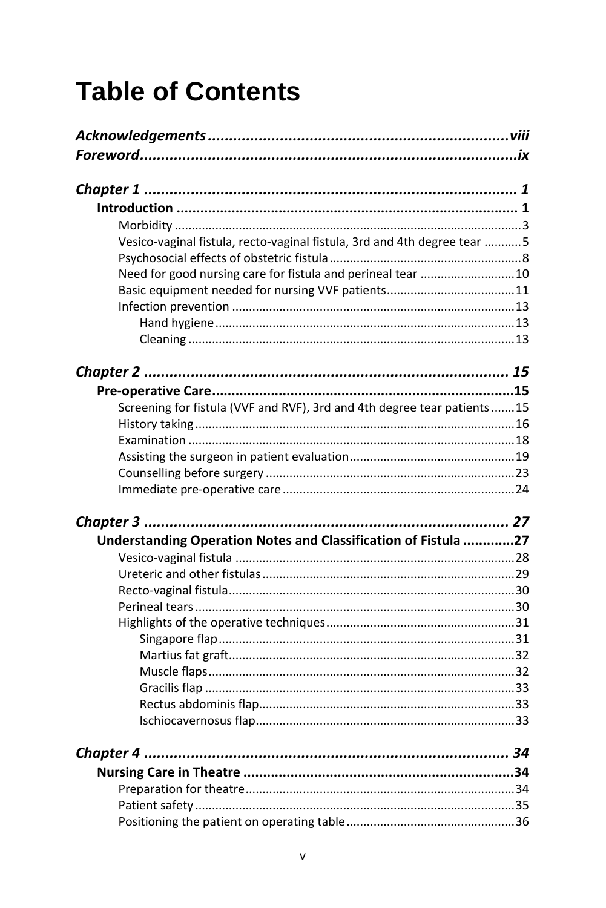## **Table of Contents**

| Vesico-vaginal fistula, recto-vaginal fistula, 3rd and 4th degree tear 5 |    |
|--------------------------------------------------------------------------|----|
|                                                                          |    |
| Need for good nursing care for fistula and perineal tear  10             |    |
|                                                                          |    |
|                                                                          |    |
|                                                                          |    |
|                                                                          |    |
|                                                                          |    |
|                                                                          |    |
| Screening for fistula (VVF and RVF), 3rd and 4th degree tear patients15  |    |
|                                                                          |    |
|                                                                          |    |
|                                                                          |    |
|                                                                          |    |
|                                                                          |    |
|                                                                          |    |
| Understanding Operation Notes and Classification of Fistula 27           |    |
|                                                                          |    |
|                                                                          |    |
|                                                                          |    |
|                                                                          |    |
|                                                                          |    |
|                                                                          |    |
|                                                                          |    |
|                                                                          |    |
|                                                                          |    |
|                                                                          |    |
|                                                                          |    |
|                                                                          | 34 |
|                                                                          |    |
|                                                                          |    |
|                                                                          |    |
|                                                                          |    |